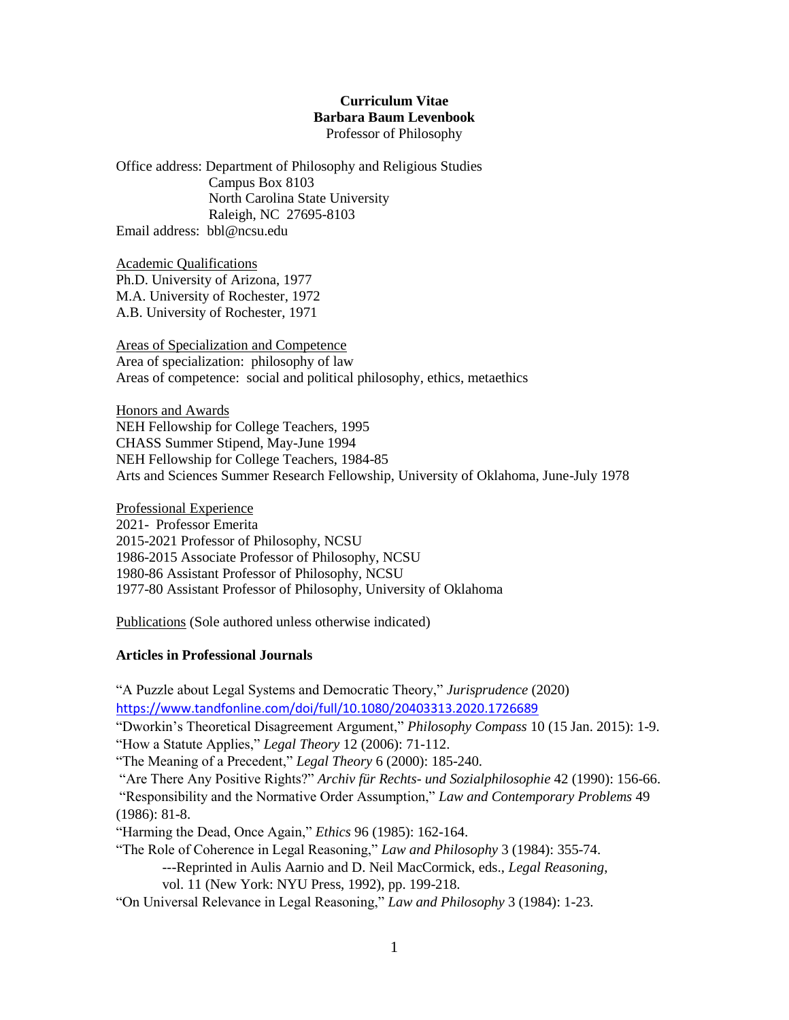### **Curriculum Vitae Barbara Baum Levenbook** Professor of Philosophy

Office address: Department of Philosophy and Religious Studies Campus Box 8103 North Carolina State University Raleigh, NC 27695-8103 Email address: bbl@ncsu.edu

Academic Qualifications Ph.D. University of Arizona, 1977 M.A. University of Rochester, 1972 A.B. University of Rochester, 1971

Areas of Specialization and Competence Area of specialization: philosophy of law Areas of competence: social and political philosophy, ethics, metaethics

Honors and Awards NEH Fellowship for College Teachers, 1995 CHASS Summer Stipend, May-June 1994 NEH Fellowship for College Teachers, 1984-85 Arts and Sciences Summer Research Fellowship, University of Oklahoma, June-July 1978

Professional Experience 2021- Professor Emerita 2015-2021 Professor of Philosophy, NCSU 1986-2015 Associate Professor of Philosophy, NCSU 1980-86 Assistant Professor of Philosophy, NCSU 1977-80 Assistant Professor of Philosophy, University of Oklahoma

Publications (Sole authored unless otherwise indicated)

# **Articles in Professional Journals**

"A Puzzle about Legal Systems and Democratic Theory," *Jurisprudence* (2020) <https://www.tandfonline.com/doi/full/10.1080/20403313.2020.1726689> "Dworkin's Theoretical Disagreement Argument," *Philosophy Compass* 10 (15 Jan. 2015): 1-9. "How a Statute Applies," *Legal Theory* 12 (2006): 71-112. "The Meaning of a Precedent," *Legal Theory* 6 (2000): 185-240. "Are There Any Positive Rights?" *Archiv für Rechts- und Sozialphilosophie* 42 (1990): 156-66. "Responsibility and the Normative Order Assumption," *Law and Contemporary Problems* 49 (1986): 81-8. "Harming the Dead, Once Again," *Ethics* 96 (1985): 162-164. "The Role of Coherence in Legal Reasoning," *Law and Philosophy* 3 (1984): 355-74. ---Reprinted in Aulis Aarnio and D. Neil MacCormick, eds., *Legal Reasoning*, vol. 11 (New York: NYU Press, 1992), pp. 199-218. "On Universal Relevance in Legal Reasoning," *Law and Philosophy* 3 (1984): 1-23.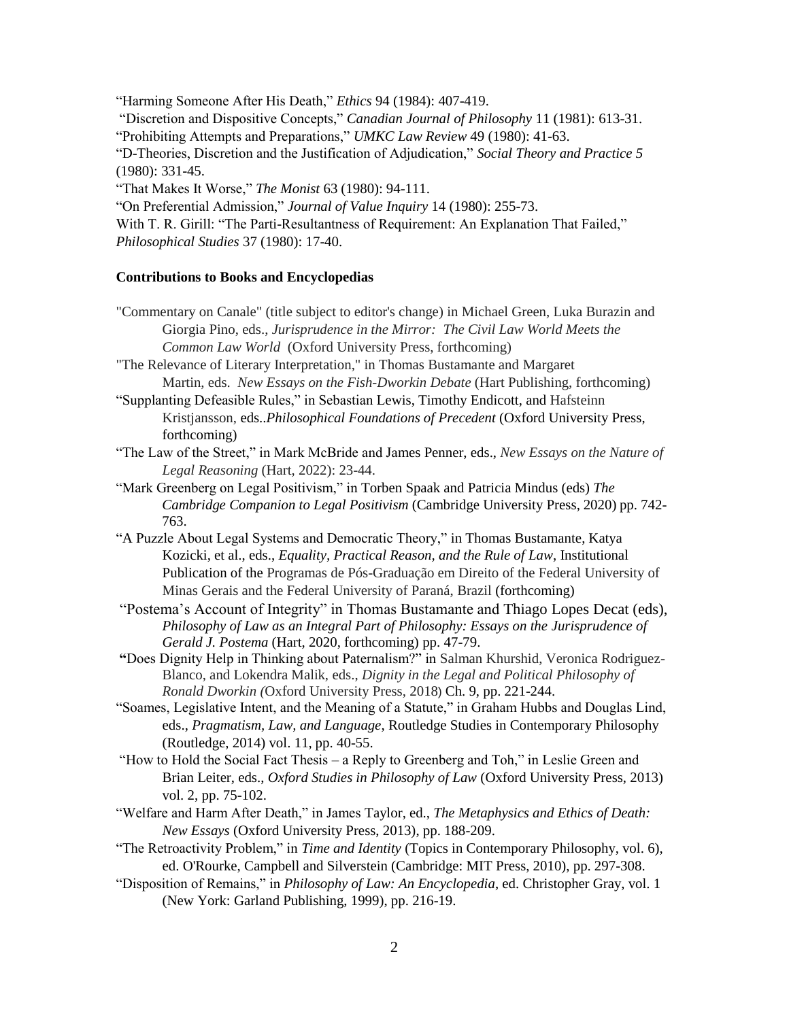"Harming Someone After His Death," *Ethics* 94 (1984): 407-419. "Discretion and Dispositive Concepts," *Canadian Journal of Philosophy* 11 (1981): 613-31. "Prohibiting Attempts and Preparations," *UMKC Law Review* 49 (1980): 41-63. "D-Theories, Discretion and the Justification of Adjudication," *Social Theory and Practice 5*  (1980): 331-45. "That Makes It Worse," *The Monist* 63 (1980): 94-111. "On Preferential Admission," *Journal of Value Inquiry* 14 (1980): 255-73. With T. R. Girill: "The Parti-Resultantness of Requirement: An Explanation That Failed,"

*Philosophical Studies* 37 (1980): 17-40.

### **Contributions to Books and Encyclopedias**

"Commentary on Canale" (title subject to editor's change) in Michael Green, Luka Burazin and Giorgia Pino, eds., *Jurisprudence in the Mirror: The Civil Law World Meets the Common Law World* (Oxford University Press, forthcoming)

"The Relevance of Literary Interpretation," in Thomas Bustamante and Margaret Martin, eds. *New Essays on the Fish-Dworkin Debate* (Hart Publishing, forthcoming)

- "Supplanting Defeasible Rules," in Sebastian Lewis, Timothy Endicott, and Hafsteinn Kristjansson, eds..*Philosophical Foundations of Precedent* (Oxford University Press, forthcoming)
- "The Law of the Street," in Mark McBride and James Penner, eds., *New Essays on the Nature of Legal Reasoning* (Hart, 2022): 23-44.
- "Mark Greenberg on Legal Positivism," in Torben Spaak and Patricia Mindus (eds) *The Cambridge Companion to Legal Positivism* (Cambridge University Press, 2020) pp. 742- 763.
- "A Puzzle About Legal Systems and Democratic Theory," in Thomas Bustamante, Katya Kozicki, et al., eds., *Equality, Practical Reason, and the Rule of Law*, Institutional Publication of the Programas de Pós-Graduação em Direito of the Federal University of Minas Gerais and the Federal University of Paraná, Brazil (forthcoming)
- "Postema's Account of Integrity" in Thomas Bustamante and Thiago Lopes Decat (eds), *Philosophy of Law as an Integral Part of Philosophy: Essays on the Jurisprudence of Gerald J. Postema* (Hart, 2020, forthcoming) pp. 47-79.
- **"**Does Dignity Help in Thinking about Paternalism?" in Salman Khurshid, Veronica Rodriguez-Blanco, and Lokendra Malik, eds., *Dignity in the Legal and Political Philosophy of Ronald Dworkin (*Oxford University Press, 2018) Ch. 9, pp. 221-244.
- "Soames, Legislative Intent, and the Meaning of a Statute," in Graham Hubbs and Douglas Lind, eds., *Pragmatism, Law, and Language*, Routledge Studies in Contemporary Philosophy (Routledge, 2014) vol. 11, pp. 40-55.
- "How to Hold the Social Fact Thesis a Reply to Greenberg and Toh," in Leslie Green and Brian Leiter, eds., *Oxford Studies in Philosophy of Law* (Oxford University Press, 2013) vol. 2, pp. 75-102.
- "Welfare and Harm After Death," in James Taylor, ed., *The Metaphysics and Ethics of Death: New Essays* (Oxford University Press, 2013), pp. 188-209.
- "The Retroactivity Problem," in *Time and Identity* (Topics in Contemporary Philosophy, vol. 6), ed. O'Rourke, Campbell and Silverstein (Cambridge: MIT Press, 2010), pp. 297-308.
- "Disposition of Remains," in *Philosophy of Law: An Encyclopedia*, ed. Christopher Gray, vol. 1 (New York: Garland Publishing, 1999), pp. 216-19.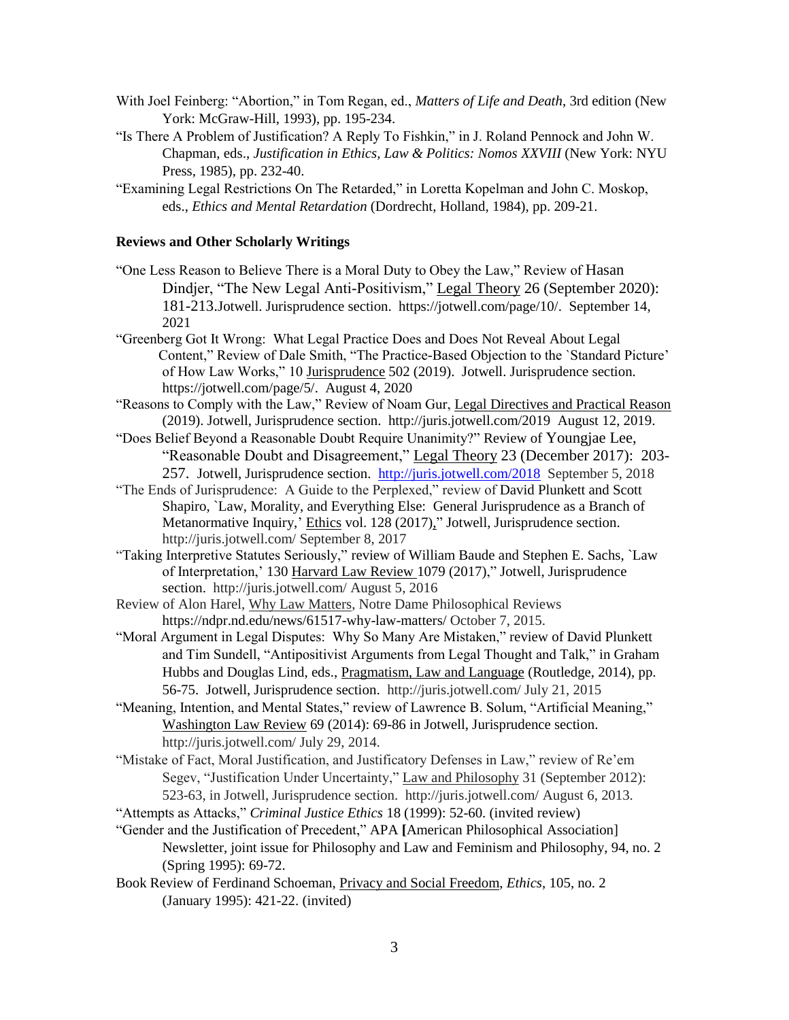- With Joel Feinberg: "Abortion," in Tom Regan, ed., *Matters of Life and Death*, 3rd edition (New York: McGraw-Hill, 1993), pp. 195-234.
- "Is There A Problem of Justification? A Reply To Fishkin," in J. Roland Pennock and John W. Chapman, eds., *Justification in Ethics, Law & Politics: Nomos XXVIII* (New York: NYU Press, 1985), pp. 232-40.
- "Examining Legal Restrictions On The Retarded," in Loretta Kopelman and John C. Moskop, eds., *Ethics and Mental Retardation* (Dordrecht, Holland, 1984), pp. 209-21.

#### **Reviews and Other Scholarly Writings**

- "One Less Reason to Believe There is a Moral Duty to Obey the Law," Review of Hasan Dindjer, "The New Legal Anti-Positivism," Legal Theory 26 (September 2020): 181-213.Jotwell. Jurisprudence section. https://jotwell.com/page/10/. September 14, 2021
- "Greenberg Got It Wrong: What Legal Practice Does and Does Not Reveal About Legal Content," Review of Dale Smith, "The Practice-Based Objection to the `Standard Picture' of How Law Works," 10 Jurisprudence 502 (2019). Jotwell. Jurisprudence section. https://jotwell.com/page/5/. August 4, 2020
- "Reasons to Comply with the Law," Review of Noam Gur, Legal Directives and Practical Reason (2019). Jotwell, Jurisprudence section. http://juris.jotwell.com/2019 August 12, 2019.
- "Does Belief Beyond a Reasonable Doubt Require Unanimity?" Review of Youngjae Lee, "Reasonable Doubt and Disagreement," Legal Theory 23 (December 2017): 203- 257. Jotwell, Jurisprudence section. <http://juris.jotwell.com/2018>September 5, 2018
- "The Ends of Jurisprudence: A Guide to the Perplexed," review of David Plunkett and Scott Shapiro, `Law, Morality, and Everything Else: General Jurisprudence as a Branch of Metanormative Inquiry,' Ethics vol. 128 (2017)," Jotwell, Jurisprudence section. http://juris.jotwell.com/ September 8, 2017
- "Taking Interpretive Statutes Seriously," review of William Baude and Stephen E. Sachs, `Law of Interpretation,' 130 Harvard Law Review 1079 (2017)," Jotwell, Jurisprudence section. http://juris.jotwell.com/ August 5, 2016
- Review of Alon Harel, Why Law Matters, Notre Dame Philosophical Reviews https://ndpr.nd.edu/news/61517-why-law-matters/ October 7, 2015.
- "Moral Argument in Legal Disputes: Why So Many Are Mistaken," review of David Plunkett and Tim Sundell, "Antipositivist Arguments from Legal Thought and Talk," in Graham Hubbs and Douglas Lind, eds., Pragmatism, Law and Language (Routledge, 2014), pp. 56-75. Jotwell, Jurisprudence section. http://juris.jotwell.com/ July 21, 2015
- "Meaning, Intention, and Mental States," review of Lawrence B. Solum, "Artificial Meaning," Washington Law Review 69 (2014): 69-86 in Jotwell, Jurisprudence section. http://juris.jotwell.com/ July 29, 2014.
- "Mistake of Fact, Moral Justification, and Justificatory Defenses in Law," review of Re'em Segev, "Justification Under Uncertainty," Law and Philosophy 31 (September 2012): 523-63, in Jotwell, Jurisprudence section. http://juris.jotwell.com/ August 6, 2013.
- "Attempts as Attacks," *Criminal Justice Ethics* 18 (1999): 52-60. (invited review)
- "Gender and the Justification of Precedent," APA **[**American Philosophical Association] Newsletter, joint issue for Philosophy and Law and Feminism and Philosophy, 94, no. 2 (Spring 1995): 69-72.
- Book Review of Ferdinand Schoeman, Privacy and Social Freedom, *Ethics*, 105, no. 2 (January 1995): 421-22. (invited)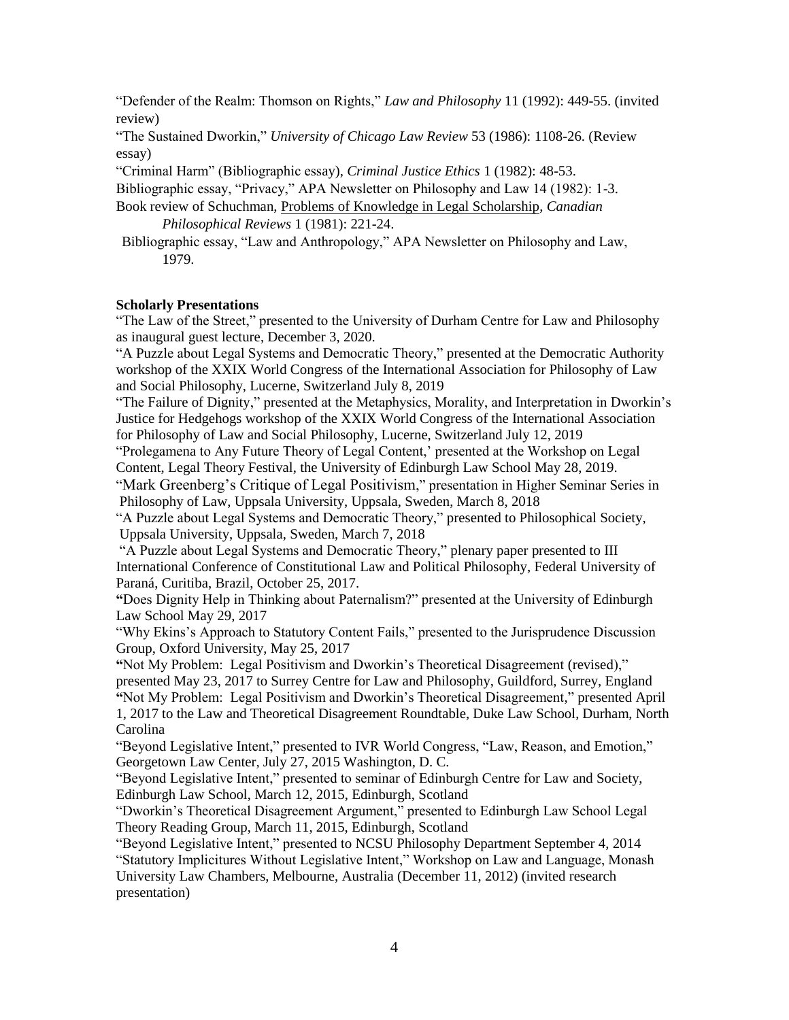"Defender of the Realm: Thomson on Rights," *Law and Philosophy* 11 (1992): 449-55. (invited review)

"The Sustained Dworkin," *University of Chicago Law Review* 53 (1986): 1108-26. (Review essay)

"Criminal Harm" (Bibliographic essay), *Criminal Justice Ethics* 1 (1982): 48-53.

Bibliographic essay, "Privacy," APA Newsletter on Philosophy and Law 14 (1982): 1-3. Book review of Schuchman, Problems of Knowledge in Legal Scholarship, *Canadian* 

*Philosophical Reviews* 1 (1981): 221-24.

Bibliographic essay, "Law and Anthropology," APA Newsletter on Philosophy and Law, 1979.

### **Scholarly Presentations**

"The Law of the Street," presented to the University of Durham Centre for Law and Philosophy as inaugural guest lecture, December 3, 2020.

"A Puzzle about Legal Systems and Democratic Theory," presented at the Democratic Authority workshop of the XXIX World Congress of the International Association for Philosophy of Law and Social Philosophy, Lucerne, Switzerland July 8, 2019

"The Failure of Dignity," presented at the Metaphysics, Morality, and Interpretation in Dworkin's Justice for Hedgehogs workshop of the XXIX World Congress of the International Association for Philosophy of Law and Social Philosophy, Lucerne, Switzerland July 12, 2019

"Prolegamena to Any Future Theory of Legal Content,' presented at the Workshop on Legal Content, Legal Theory Festival, the University of Edinburgh Law School May 28, 2019.

"Mark Greenberg's Critique of Legal Positivism," presentation in Higher Seminar Series in Philosophy of Law, Uppsala University, Uppsala, Sweden, March 8, 2018

"A Puzzle about Legal Systems and Democratic Theory," presented to Philosophical Society, Uppsala University, Uppsala, Sweden, March 7, 2018

"A Puzzle about Legal Systems and Democratic Theory," plenary paper presented to III International Conference of Constitutional Law and Political Philosophy, Federal University of Paraná, Curitiba, Brazil, October 25, 2017.

**"**Does Dignity Help in Thinking about Paternalism?" presented at the University of Edinburgh Law School May 29, 2017

"Why Ekins's Approach to Statutory Content Fails," presented to the Jurisprudence Discussion Group, Oxford University, May 25, 2017

**"**Not My Problem: Legal Positivism and Dworkin's Theoretical Disagreement (revised)," presented May 23, 2017 to Surrey Centre for Law and Philosophy, Guildford, Surrey, England **"**Not My Problem: Legal Positivism and Dworkin's Theoretical Disagreement," presented April 1, 2017 to the Law and Theoretical Disagreement Roundtable, Duke Law School, Durham, North Carolina

"Beyond Legislative Intent," presented to IVR World Congress, "Law, Reason, and Emotion," Georgetown Law Center, July 27, 2015 Washington, D. C.

"Beyond Legislative Intent," presented to seminar of Edinburgh Centre for Law and Society, Edinburgh Law School, March 12, 2015, Edinburgh, Scotland

"Dworkin's Theoretical Disagreement Argument," presented to Edinburgh Law School Legal Theory Reading Group, March 11, 2015, Edinburgh, Scotland

"Beyond Legislative Intent," presented to NCSU Philosophy Department September 4, 2014 "Statutory Implicitures Without Legislative Intent," Workshop on Law and Language, Monash University Law Chambers, Melbourne, Australia (December 11, 2012) (invited research presentation)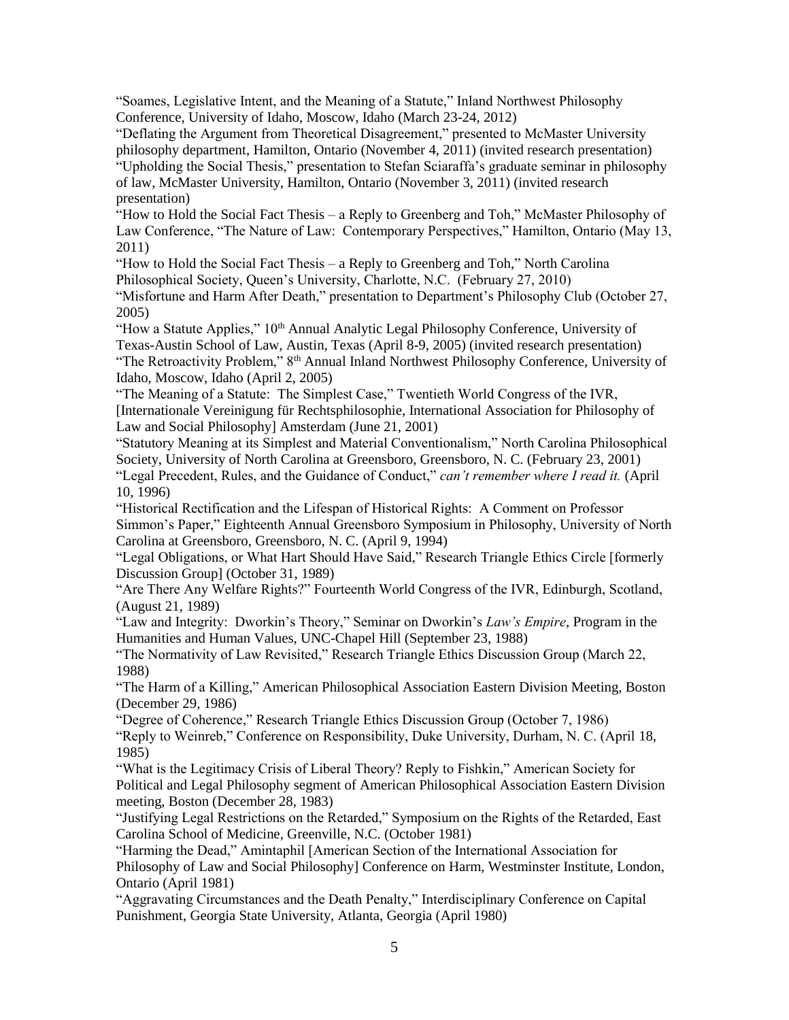"Soames, Legislative Intent, and the Meaning of a Statute," Inland Northwest Philosophy Conference, University of Idaho, Moscow, Idaho (March 23-24, 2012)

"Deflating the Argument from Theoretical Disagreement," presented to McMaster University philosophy department, Hamilton, Ontario (November 4, 2011) (invited research presentation) "Upholding the Social Thesis," presentation to Stefan Sciaraffa's graduate seminar in philosophy of law, McMaster University, Hamilton, Ontario (November 3, 2011) (invited research presentation)

"How to Hold the Social Fact Thesis – a Reply to Greenberg and Toh," McMaster Philosophy of Law Conference, "The Nature of Law: Contemporary Perspectives," Hamilton, Ontario (May 13, 2011)

"How to Hold the Social Fact Thesis – a Reply to Greenberg and Toh," North Carolina Philosophical Society, Queen's University, Charlotte, N.C. (February 27, 2010)

"Misfortune and Harm After Death," presentation to Department's Philosophy Club (October 27, 2005)

"How a Statute Applies," 10<sup>th</sup> Annual Analytic Legal Philosophy Conference, University of Texas-Austin School of Law, Austin, Texas (April 8-9, 2005) (invited research presentation) "The Retroactivity Problem," 8<sup>th</sup> Annual Inland Northwest Philosophy Conference, University of Idaho, Moscow, Idaho (April 2, 2005)

"The Meaning of a Statute: The Simplest Case," Twentieth World Congress of the IVR, [Internationale Vereinigung für Rechtsphilosophie, International Association for Philosophy of Law and Social Philosophy] Amsterdam (June 21, 2001)

"Statutory Meaning at its Simplest and Material Conventionalism," North Carolina Philosophical Society, University of North Carolina at Greensboro, Greensboro, N. C. (February 23, 2001)

"Legal Precedent, Rules, and the Guidance of Conduct," *can't remember where I read it.* (April 10, 1996)

"Historical Rectification and the Lifespan of Historical Rights: A Comment on Professor Simmon's Paper," Eighteenth Annual Greensboro Symposium in Philosophy, University of North Carolina at Greensboro, Greensboro, N. C. (April 9, 1994)

"Legal Obligations, or What Hart Should Have Said," Research Triangle Ethics Circle [formerly Discussion Group] (October 31, 1989)

"Are There Any Welfare Rights?" Fourteenth World Congress of the IVR, Edinburgh, Scotland, (August 21, 1989)

"Law and Integrity: Dworkin's Theory," Seminar on Dworkin's *Law's Empire*, Program in the Humanities and Human Values, UNC-Chapel Hill (September 23, 1988)

"The Normativity of Law Revisited," Research Triangle Ethics Discussion Group (March 22, 1988)

"The Harm of a Killing," American Philosophical Association Eastern Division Meeting, Boston (December 29, 1986)

"Degree of Coherence," Research Triangle Ethics Discussion Group (October 7, 1986)

"Reply to Weinreb," Conference on Responsibility, Duke University, Durham, N. C. (April 18, 1985)

"What is the Legitimacy Crisis of Liberal Theory? Reply to Fishkin," American Society for Political and Legal Philosophy segment of American Philosophical Association Eastern Division meeting, Boston (December 28, 1983)

"Justifying Legal Restrictions on the Retarded," Symposium on the Rights of the Retarded, East Carolina School of Medicine, Greenville, N.C. (October 1981)

"Harming the Dead," Amintaphil [American Section of the International Association for Philosophy of Law and Social Philosophy] Conference on Harm, Westminster Institute, London, Ontario (April 1981)

"Aggravating Circumstances and the Death Penalty," Interdisciplinary Conference on Capital Punishment, Georgia State University, Atlanta, Georgia (April 1980)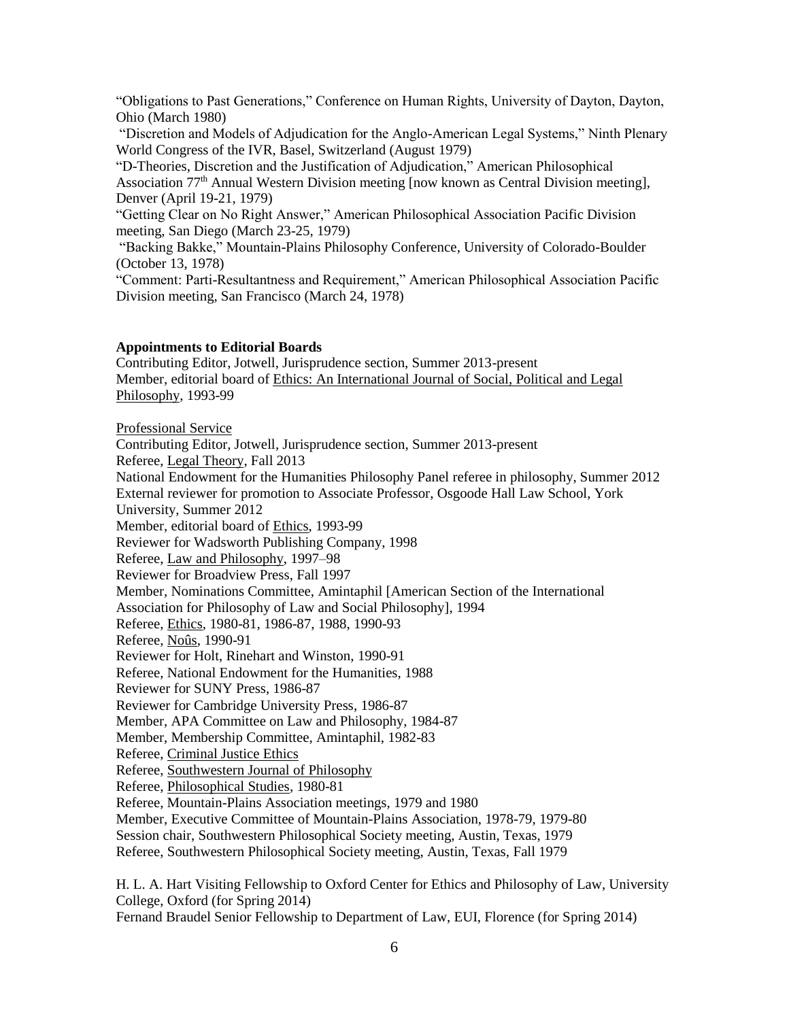"Obligations to Past Generations," Conference on Human Rights, University of Dayton, Dayton, Ohio (March 1980)

"Discretion and Models of Adjudication for the Anglo-American Legal Systems," Ninth Plenary World Congress of the IVR, Basel, Switzerland (August 1979)

"D-Theories, Discretion and the Justification of Adjudication," American Philosophical Association 77th Annual Western Division meeting [now known as Central Division meeting], Denver (April 19-21, 1979)

"Getting Clear on No Right Answer," American Philosophical Association Pacific Division meeting, San Diego (March 23-25, 1979)

"Backing Bakke," Mountain-Plains Philosophy Conference, University of Colorado-Boulder (October 13, 1978)

"Comment: Parti-Resultantness and Requirement," American Philosophical Association Pacific Division meeting, San Francisco (March 24, 1978)

#### **Appointments to Editorial Boards**

Contributing Editor, Jotwell, Jurisprudence section, Summer 2013-present Member, editorial board of Ethics: An International Journal of Social, Political and Legal Philosophy, 1993-99

Professional Service

Contributing Editor, Jotwell, Jurisprudence section, Summer 2013-present Referee, Legal Theory, Fall 2013 National Endowment for the Humanities Philosophy Panel referee in philosophy, Summer 2012 External reviewer for promotion to Associate Professor, Osgoode Hall Law School, York University, Summer 2012 Member, editorial board of Ethics, 1993-99 Reviewer for Wadsworth Publishing Company, 1998 Referee, Law and Philosophy, 1997–98 Reviewer for Broadview Press, Fall 1997 Member, Nominations Committee, Amintaphil [American Section of the International Association for Philosophy of Law and Social Philosophy], 1994 Referee, Ethics, 1980-81, 1986-87, 1988, 1990-93 Referee, Noûs, 1990-91 Reviewer for Holt, Rinehart and Winston, 1990-91 Referee, National Endowment for the Humanities, 1988 Reviewer for SUNY Press, 1986-87 Reviewer for Cambridge University Press, 1986-87 Member, APA Committee on Law and Philosophy, 1984-87 Member, Membership Committee, Amintaphil, 1982-83 Referee, Criminal Justice Ethics Referee, Southwestern Journal of Philosophy Referee, Philosophical Studies, 1980-81 Referee, Mountain-Plains Association meetings, 1979 and 1980 Member, Executive Committee of Mountain-Plains Association, 1978-79, 1979-80 Session chair, Southwestern Philosophical Society meeting, Austin, Texas, 1979 Referee, Southwestern Philosophical Society meeting, Austin, Texas, Fall 1979

H. L. A. Hart Visiting Fellowship to Oxford Center for Ethics and Philosophy of Law, University College, Oxford (for Spring 2014)

Fernand Braudel Senior Fellowship to Department of Law, EUI, Florence (for Spring 2014)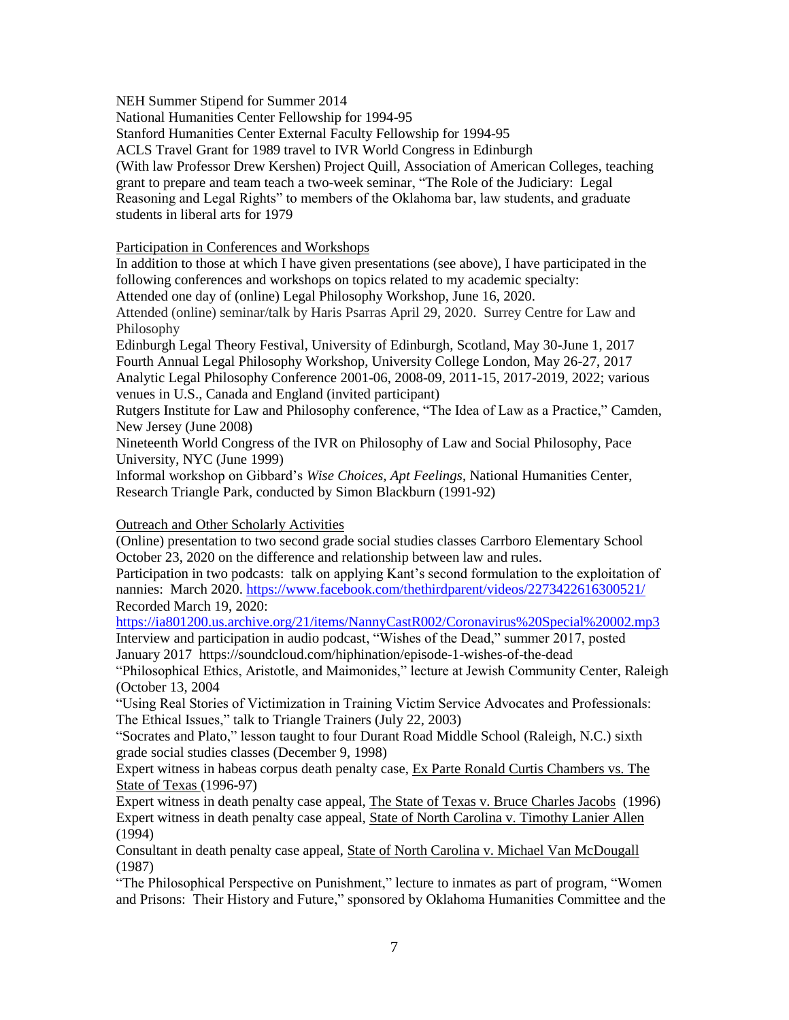NEH Summer Stipend for Summer 2014

National Humanities Center Fellowship for 1994-95

Stanford Humanities Center External Faculty Fellowship for 1994-95

ACLS Travel Grant for 1989 travel to IVR World Congress in Edinburgh

(With law Professor Drew Kershen) Project Quill, Association of American Colleges, teaching grant to prepare and team teach a two-week seminar, "The Role of the Judiciary: Legal Reasoning and Legal Rights" to members of the Oklahoma bar, law students, and graduate students in liberal arts for 1979

# Participation in Conferences and Workshops

In addition to those at which I have given presentations (see above), I have participated in the following conferences and workshops on topics related to my academic specialty:

Attended one day of (online) Legal Philosophy Workshop, June 16, 2020.

Attended (online) seminar/talk by Haris Psarras April 29, 2020. Surrey Centre for Law and Philosophy

Edinburgh Legal Theory Festival, University of Edinburgh, Scotland, May 30-June 1, 2017 Fourth Annual Legal Philosophy Workshop, University College London, May 26-27, 2017 Analytic Legal Philosophy Conference 2001-06, 2008-09, 2011-15, 2017-2019, 2022; various venues in U.S., Canada and England (invited participant)

Rutgers Institute for Law and Philosophy conference, "The Idea of Law as a Practice," Camden, New Jersey (June 2008)

Nineteenth World Congress of the IVR on Philosophy of Law and Social Philosophy, Pace University, NYC (June 1999)

Informal workshop on Gibbard's *Wise Choices, Apt Feelings*, National Humanities Center, Research Triangle Park, conducted by Simon Blackburn (1991-92)

# Outreach and Other Scholarly Activities

(Online) presentation to two second grade social studies classes Carrboro Elementary School October 23, 2020 on the difference and relationship between law and rules.

Participation in two podcasts: talk on applying Kant's second formulation to the exploitation of nannies: March 2020.<https://www.facebook.com/thethirdparent/videos/2273422616300521/> Recorded March 19, 2020:

<https://ia801200.us.archive.org/21/items/NannyCastR002/Coronavirus%20Special%20002.mp3> Interview and participation in audio podcast, "Wishes of the Dead," summer 2017, posted January 2017 https://soundcloud.com/hiphination/episode-1-wishes-of-the-dead

"Philosophical Ethics, Aristotle, and Maimonides," lecture at Jewish Community Center, Raleigh (October 13, 2004

"Using Real Stories of Victimization in Training Victim Service Advocates and Professionals: The Ethical Issues," talk to Triangle Trainers (July 22, 2003)

"Socrates and Plato," lesson taught to four Durant Road Middle School (Raleigh, N.C.) sixth grade social studies classes (December 9, 1998)

Expert witness in habeas corpus death penalty case, Ex Parte Ronald Curtis Chambers vs. The State of Texas (1996-97)

Expert witness in death penalty case appeal, The State of Texas v. Bruce Charles Jacobs (1996) Expert witness in death penalty case appeal, State of North Carolina v. Timothy Lanier Allen (1994)

Consultant in death penalty case appeal, State of North Carolina v. Michael Van McDougall (1987)

"The Philosophical Perspective on Punishment," lecture to inmates as part of program, "Women and Prisons: Their History and Future," sponsored by Oklahoma Humanities Committee and the